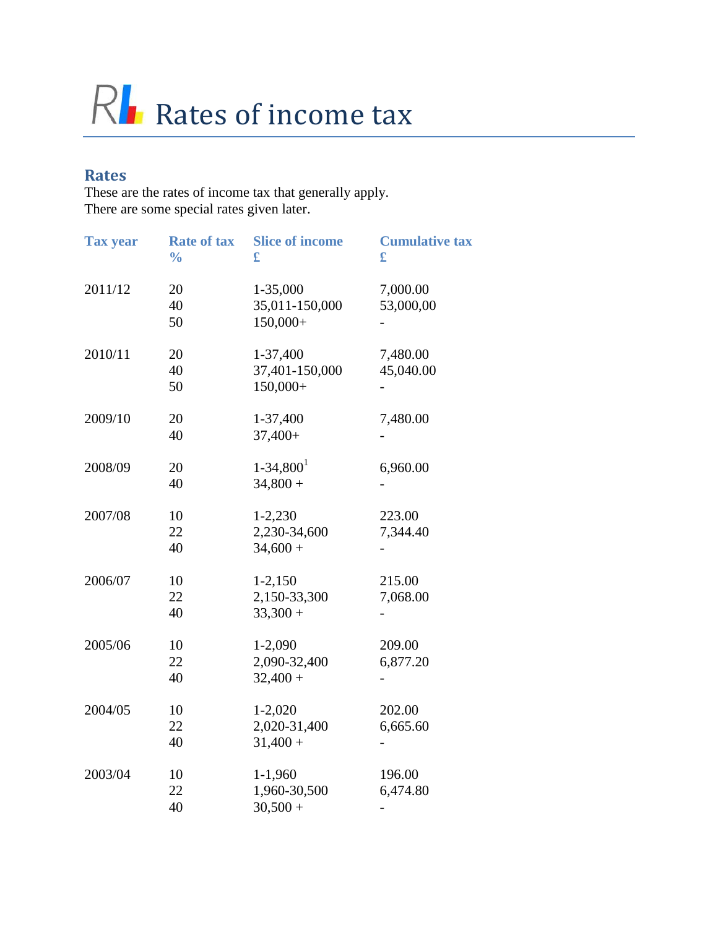# RI Rates of income tax

#### **Rates**

These are the rates of income tax that generally apply. There are some special rates given later.

| <b>Tax year</b> | <b>Rate of tax</b><br>$\frac{0}{0}$ | <b>Slice of income</b><br>£               | <b>Cumulative tax</b><br>£ |
|-----------------|-------------------------------------|-------------------------------------------|----------------------------|
| 2011/12         | 20<br>40<br>50                      | 1-35,000<br>35,011-150,000<br>150,000+    | 7,000.00<br>53,000,00      |
| 2010/11         | 20<br>40<br>50                      | 1-37,400<br>37,401-150,000<br>$150,000+$  | 7,480.00<br>45,040.00      |
| 2009/10         | 20<br>40                            | 1-37,400<br>$37,400+$                     | 7,480.00                   |
| 2008/09         | 20<br>40                            | $1 - 34,8001$<br>$34,800 +$               | 6,960.00                   |
| 2007/08         | 10<br>22<br>40                      | $1 - 2,230$<br>2,230-34,600<br>$34,600 +$ | 223.00<br>7,344.40         |
| 2006/07         | 10<br>22<br>40                      | $1-2,150$<br>2,150-33,300<br>$33,300 +$   | 215.00<br>7,068.00         |
| 2005/06         | 10<br>22<br>40                      | $1 - 2,090$<br>2,090-32,400<br>$32,400 +$ | 209.00<br>6,877.20         |
| 2004/05         | 10<br>22<br>40                      | $1 - 2,020$<br>2,020-31,400<br>$31,400 +$ | 202.00<br>6,665.60         |
| 2003/04         | 10<br>22<br>40                      | $1-1,960$<br>1,960-30,500<br>$30,500 +$   | 196.00<br>6,474.80         |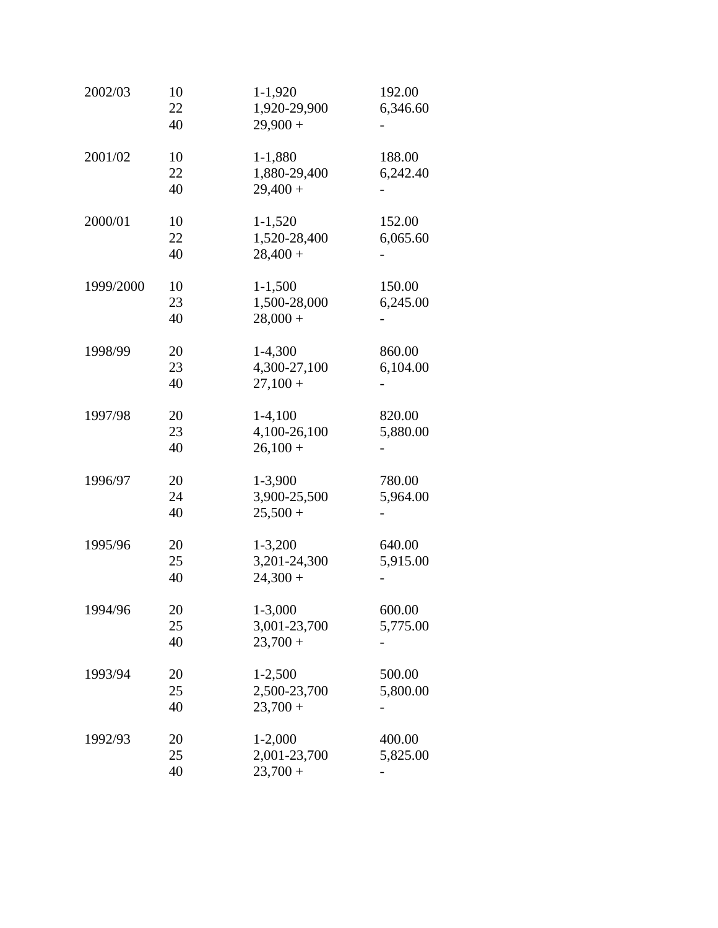| 2002/03   | 10<br>22<br>40 | $1-1,920$<br>1,920-29,900<br>$29,900 +$   | 192.00<br>6,346.60 |
|-----------|----------------|-------------------------------------------|--------------------|
| 2001/02   | 10<br>22<br>40 | 1-1,880<br>1,880-29,400<br>$29,400 +$     | 188.00<br>6,242.40 |
| 2000/01   | 10<br>22<br>40 | $1 - 1,520$<br>1,520-28,400<br>$28,400 +$ | 152.00<br>6,065.60 |
| 1999/2000 | 10<br>23<br>40 | $1 - 1,500$<br>1,500-28,000<br>$28,000 +$ | 150.00<br>6,245.00 |
| 1998/99   | 20<br>23<br>40 | $1-4,300$<br>4,300-27,100<br>$27,100+$    | 860.00<br>6,104.00 |
| 1997/98   | 20<br>23<br>40 | $1-4,100$<br>4,100-26,100<br>$26,100+$    | 820.00<br>5,880.00 |
| 1996/97   | 20<br>24<br>40 | 1-3,900<br>3,900-25,500<br>$25,500 +$     | 780.00<br>5,964.00 |
| 1995/96   | 20<br>25<br>40 | $1 - 3,200$<br>3,201-24,300<br>$24,300 +$ | 640.00<br>5,915.00 |
| 1994/96   | 20<br>25<br>40 | 1-3,000<br>3,001-23,700<br>$23,700+$      | 600.00<br>5,775.00 |
| 1993/94   | 20<br>25<br>40 | $1 - 2,500$<br>2,500-23,700<br>$23,700+$  | 500.00<br>5,800.00 |
| 1992/93   | 20<br>25<br>40 | $1 - 2,000$<br>2,001-23,700<br>$23,700+$  | 400.00<br>5,825.00 |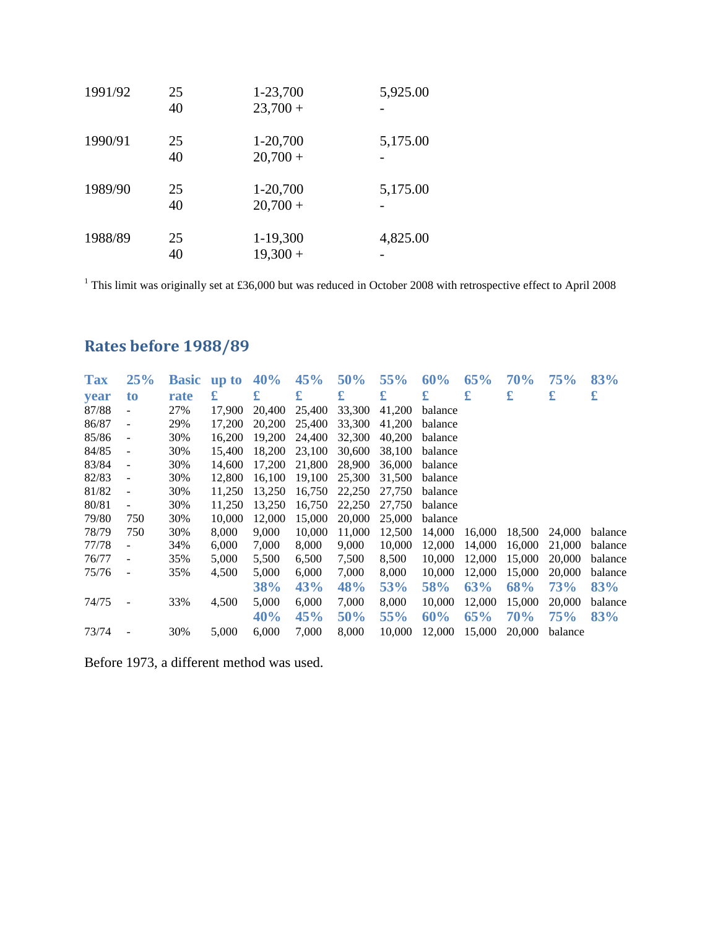| 1991/92 | 25<br>40 | 1-23,700<br>$23,700 +$ | 5,925.00 |
|---------|----------|------------------------|----------|
| 1990/91 | 25<br>40 | 1-20,700<br>$20,700 +$ | 5,175.00 |
| 1989/90 | 25<br>40 | 1-20,700<br>$20,700 +$ | 5,175.00 |
| 1988/89 | 25<br>40 | 1-19,300<br>$19,300 +$ | 4,825.00 |

<sup>1</sup> This limit was originally set at £36,000 but was reduced in October 2008 with retrospective effect to April 2008

### **Rates before 1988/89**

| <b>Tax</b>  | 25%                      | <b>Basic</b> | up to  | 40%        | 45%    | 50%    | 55%    | 60%     | 65%    | 70%        | 75%        | 83%     |
|-------------|--------------------------|--------------|--------|------------|--------|--------|--------|---------|--------|------------|------------|---------|
| <b>vear</b> | to                       | rate         | £      | £          | £      | £      | £      | £       | £      | £          | £          | £       |
| 87/88       | $\overline{\phantom{0}}$ | 27%          | 17.900 | 20,400     | 25,400 | 33,300 | 41,200 | balance |        |            |            |         |
| 86/87       | $\overline{\phantom{a}}$ | 29%          | 17,200 | 20,200     | 25,400 | 33,300 | 41,200 | balance |        |            |            |         |
| 85/86       | $\overline{\phantom{a}}$ | 30%          | 16.200 | 19.200     | 24,400 | 32,300 | 40.200 | balance |        |            |            |         |
| 84/85       | $\overline{\phantom{a}}$ | 30%          | 15,400 | 18,200     | 23,100 | 30,600 | 38,100 | balance |        |            |            |         |
| 83/84       | $\overline{\phantom{a}}$ | 30%          | 14.600 | 17,200     | 21,800 | 28,900 | 36,000 | balance |        |            |            |         |
| 82/83       | $\blacksquare$           | 30%          | 12,800 | 16.100     | 19.100 | 25,300 | 31,500 | balance |        |            |            |         |
| 81/82       | $\blacksquare$           | 30%          | 11,250 | 13,250     | 16,750 | 22,250 | 27,750 | balance |        |            |            |         |
| 80/81       | -                        | 30%          | 11,250 | 13,250     | 16,750 | 22,250 | 27,750 | balance |        |            |            |         |
| 79/80       | 750                      | 30%          | 10.000 | 12,000     | 15,000 | 20,000 | 25,000 | balance |        |            |            |         |
| 78/79       | 750                      | 30%          | 8,000  | 9,000      | 10,000 | 11,000 | 12,500 | 14,000  | 16,000 | 18,500     | 24,000     | balance |
| 77/78       | $\overline{\phantom{0}}$ | 34%          | 6,000  | 7,000      | 8,000  | 9,000  | 10,000 | 12,000  | 14,000 | 16,000     | 21,000     | balance |
| 76/77       | $\overline{\phantom{a}}$ | 35%          | 5,000  | 5,500      | 6,500  | 7,500  | 8,500  | 10,000  | 12,000 | 15,000     | 20,000     | balance |
| 75/76       | $\overline{\phantom{a}}$ | 35%          | 4,500  | 5,000      | 6,000  | 7,000  | 8,000  | 10,000  | 12,000 | 15,000     | 20,000     | balance |
|             |                          |              |        | <b>38%</b> | 43%    | 48%    | 53%    | 58%     | 63%    | 68%        | <b>73%</b> | 83%     |
| 74/75       |                          | 33%          | 4,500  | 5,000      | 6,000  | 7,000  | 8,000  | 10,000  | 12,000 | 15,000     | 20,000     | balance |
|             |                          |              |        | 40%        | 45%    | 50%    | 55%    | 60%     | 65%    | <b>70%</b> | 75%        | 83%     |
| 73/74       |                          | 30%          | 5,000  | 6,000      | 7,000  | 8.000  | 10.000 | 12,000  | 15,000 | 20,000     | balance    |         |

Before 1973, a different method was used.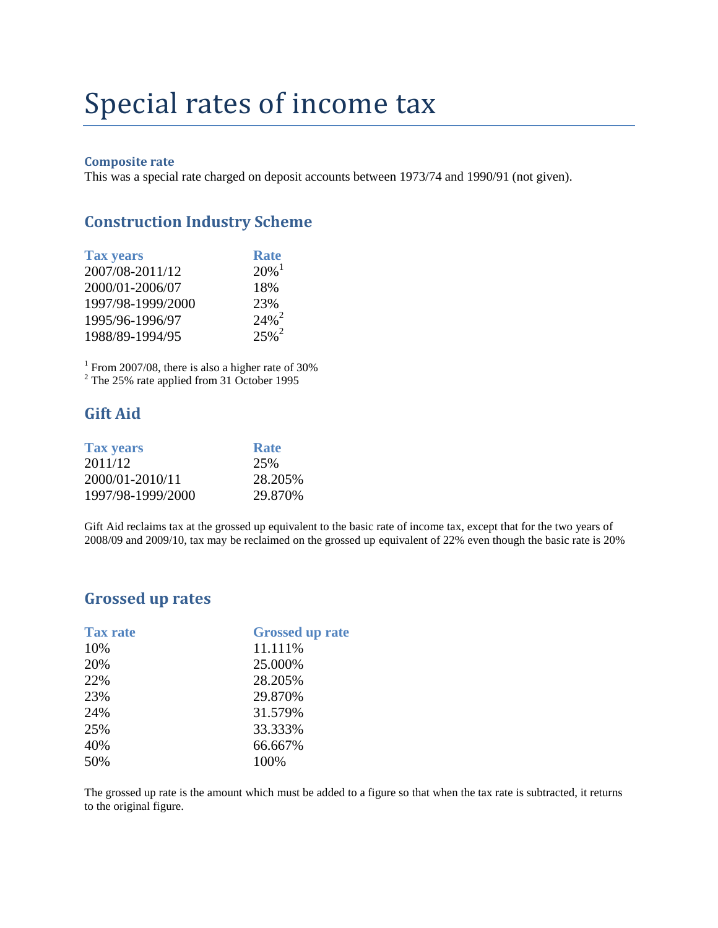## Special rates of income tax

#### **Composite rate**

This was a special rate charged on deposit accounts between 1973/74 and 1990/91 (not given).

#### **Construction Industry Scheme**

| <b>Tax years</b>  | <b>Rate</b>         |
|-------------------|---------------------|
| 2007/08-2011/12   | $20\%$ <sup>1</sup> |
| 2000/01-2006/07   | 18%                 |
| 1997/98-1999/2000 | 23%                 |
| 1995/96-1996/97   | $24\%$ <sup>2</sup> |
| 1988/89-1994/95   | $25%^{2}$           |

 $1$  From 2007/08, there is also a higher rate of 30%

 $2$  The 25% rate applied from 31 October 1995

#### **Gift Aid**

| <b>Rate</b> |
|-------------|
| 25%         |
| 28.205%     |
| 29.870\%    |
|             |

Gift Aid reclaims tax at the grossed up equivalent to the basic rate of income tax, except that for the two years of 2008/09 and 2009/10, tax may be reclaimed on the grossed up equivalent of 22% even though the basic rate is 20%

#### **Grossed up rates**

| <b>Tax rate</b> | <b>Grossed up rate</b> |
|-----------------|------------------------|
| 10%             | 11.111%                |
| 20%             | 25.000%                |
| 22%             | 28.205%                |
| 23%             | 29.870%                |
| 24%             | 31.579%                |
| 25%             | 33.333%                |
| 40%             | 66.667%                |
| 50%             | 100%                   |

The grossed up rate is the amount which must be added to a figure so that when the tax rate is subtracted, it returns to the original figure.